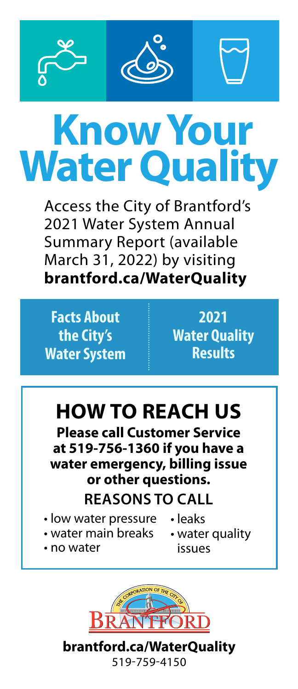



# **Know Your Water Quality**

Access the City of Brantford's 2021 Water System Annual Summary Report (available March 31, 2022) by visiting **[brantford.ca/WaterQuality](https://www.brantford.ca/en/living-here/water-quality.aspx)**

**Facts About the City's Water System** 

**2021 Water Quality Results**

## **HOW TO REACH US**

**Please call Customer Service at 519-756-1360 if you have a water emergency, billing issue or other questions.**

### **REASONS TO CALL**

- low water pressure leaks
- water main breaks
- no water
- water quality issues



**[brantford.ca/WaterQuality](https://www.brantford.ca/en/living-here/water-quality.aspx)** 519-759-4150